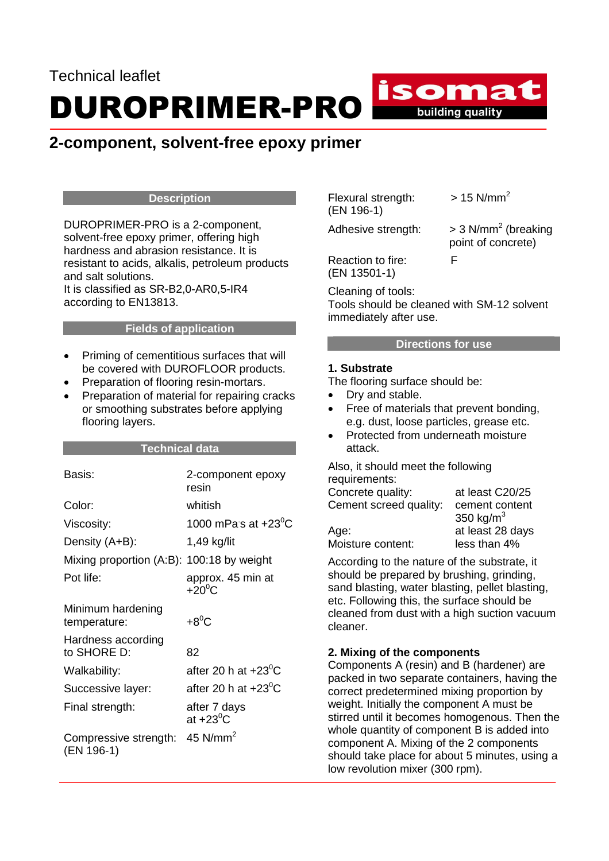# Technical leaflet DUROPRIMER-PRO

# **2-component, solvent-free epoxy primer**

### **Description**

DUROPRIMER-PRO is a 2-component, solvent-free epoxy primer, offering high hardness and abrasion resistance. It is resistant to acids, alkalis, petroleum products and salt solutions. It is classified as SR-B2,0-AR0,5-IR4 according to EN13813.

#### **Fields of application**

- Priming of cementitious surfaces that will be covered with DUROFLOOR products.
- Preparation of flooring resin-mortars.
- Preparation of material for repairing cracks or smoothing substrates before applying flooring layers.

### **Technical data**

| Basis:                                    | 2-component epoxy<br>resin          |
|-------------------------------------------|-------------------------------------|
| Color:                                    | whitish                             |
| Viscosity:                                | 1000 mPas at +23 $^{\rm o}$ C       |
| Density (A+B):                            | 1,49 kg/lit                         |
| Mixing proportion (A:B): 100:18 by weight |                                     |
| Pot life:                                 | approx. 45 min at<br>$+20^0$ C      |
| Minimum hardening<br>temperature:         | $+8^0C$                             |
| Hardness according<br>to SHORE D:         | 82                                  |
| Walkability:                              | after 20 h at $+23^{\circ}$ C       |
| Successive layer:                         | after 20 h at $+23^{\circ}$ C       |
| Final strength:                           | after 7 days<br>at +23 $^{\rm o}$ C |
| Compressive strength:<br>(EN 196-1)       | 45 $N/mm2$                          |

Flexural strength:  $> 15$  N/mm<sup>2</sup> (EN 196-1)

isomat

**Example 15** building quality

Adhesive strength:

 $>$  3 N/mm<sup>2</sup> (breaking point of concrete)

Reaction to fire: F (EN 13501-1)

Cleaning of tools:

Tools should be cleaned with SM-12 solvent immediately after use.

# **Directions for use**

### **1. Substrate**

The flooring surface should be:

- Dry and stable.
- Free of materials that prevent bonding, e.g. dust, loose particles, grease etc.
- Protected from underneath moisture attack.

Also, it should meet the following requirements:

| Concrete quality:      | at least C20/25  |
|------------------------|------------------|
| Cement screed quality: | cement content   |
|                        | 350 kg/ $m3$     |
| Age:                   | at least 28 days |
| Moisture content:      | less than 4%     |
|                        |                  |

According to the nature of the substrate, it should be prepared by brushing, grinding, sand blasting, water blasting, pellet blasting, etc. Following this, the surface should be cleaned from dust with a high suction vacuum cleaner.

# **2. Mixing of the components**

Components A (resin) and B (hardener) are packed in two separate containers, having the correct predetermined mixing proportion by weight. Initially the component A must be stirred until it becomes homogenous. Then the whole quantity of component B is added into component A. Mixing of the 2 components should take place for about 5 minutes, using a low revolution mixer (300 rpm).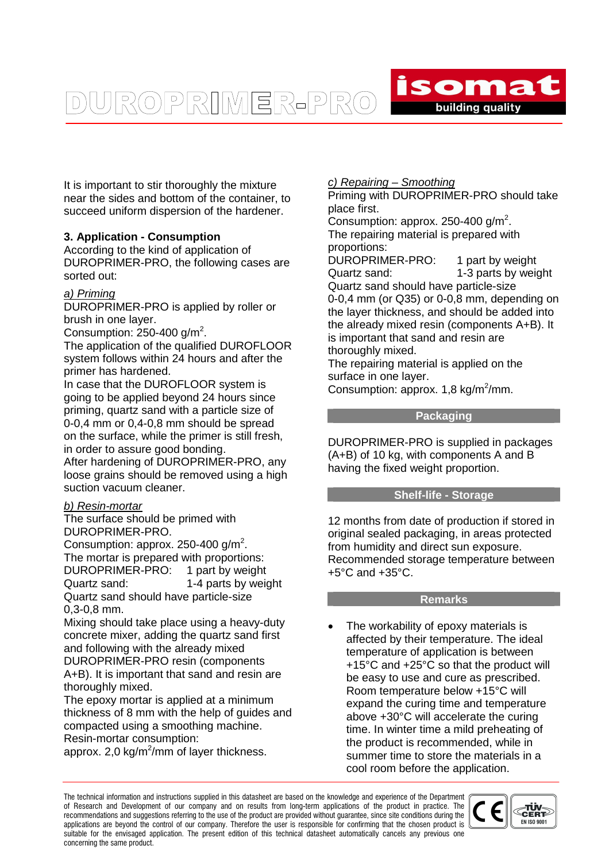It is important to stir thoroughly the mixture near the sides and bottom of the container, to succeed uniform dispersion of the hardener.

UROPRIMER-PRO

# **3. Application - Consumption**

According to the kind of application of DUROPRIMER-PRO, the following cases are sorted out:

# a) Priming

DUROPRIMER-PRO is applied by roller or brush in one layer.

Consumption:  $250 - 400$  g/m<sup>2</sup>.

The application of the qualified DUROFLOOR system follows within 24 hours and after the primer has hardened.

In case that the DUROFLOOR system is going to be applied beyond 24 hours since priming, quartz sand with a particle size of 0-0,4 mm or 0,4-0,8 mm should be spread on the surface, while the primer is still fresh, in order to assure good bonding.

After hardening of DUROPRIMER-PRO, any loose grains should be removed using a high suction vacuum cleaner.

### b) Resin-mortar

The surface should be primed with DUROPRIMER-PRO.

Consumption: approx. 250-400  $g/m^2$ . The mortar is prepared with proportions: DUROPRIMER-PRO: 1 part by weight Quartz sand: 1-4 parts by weight Quartz sand should have particle-size 0,3-0,8 mm.

Mixing should take place using a heavy-duty concrete mixer, adding the quartz sand first and following with the already mixed DUROPRIMER-PRO resin (components A+B). It is important that sand and resin are thoroughly mixed.

The epoxy mortar is applied at a minimum thickness of 8 mm with the help of guides and compacted using a smoothing machine. Resin-mortar consumption:

approx. 2,0 kg/m<sup>2</sup>/mm of layer thickness.

# c) Repairing – Smoothing

Priming with DUROPRIMER-PRO should take place first.

isomat

building quality

Consumption: approx. 250-400  $g/m^2$ . The repairing material is prepared with proportions:

DUROPRIMER-PRO: 1 part by weight Quartz sand: 1-3 parts by weight Quartz sand should have particle-size 0-0,4 mm (or Q35) or 0-0,8 mm, depending on the layer thickness, and should be added into the already mixed resin (components A+B). It is important that sand and resin are thoroughly mixed.

The repairing material is applied on the surface in one layer.

Consumption: approx.  $1,8$  kg/m<sup>2</sup>/mm.

### **Packaging**

DUROPRIMER-PRO is supplied in packages (A+B) of 10 kg, with components A and B having the fixed weight proportion.

# **Shelf-life - Storage**

12 months from date of production if stored in original sealed packaging, in areas protected from humidity and direct sun exposure. Recommended storage temperature between +5°C and +35°C.

#### **Remarks**

The workability of epoxy materials is affected by their temperature. The ideal temperature of application is between +15°C and +25°C so that the product will be easy to use and cure as prescribed. Room temperature below +15°C will expand the curing time and temperature above +30°C will accelerate the curing time. In winter time a mild preheating of the product is recommended, while in summer time to store the materials in a cool room before the application.

The technical information and instructions supplied in this datasheet are based on the knowledge and experience of the Department of Research and Development of our company and on results from long-term applications of the product in practice. The recommendations and suggestions referring to the use of the product are provided without guarantee, since site conditions during the applications are beyond the control of our company. Therefore the user is responsible for confirming that the chosen product is suitable for the envisaged application. The present edition of this technical datasheet automatically cancels any previous one concerning the same product.